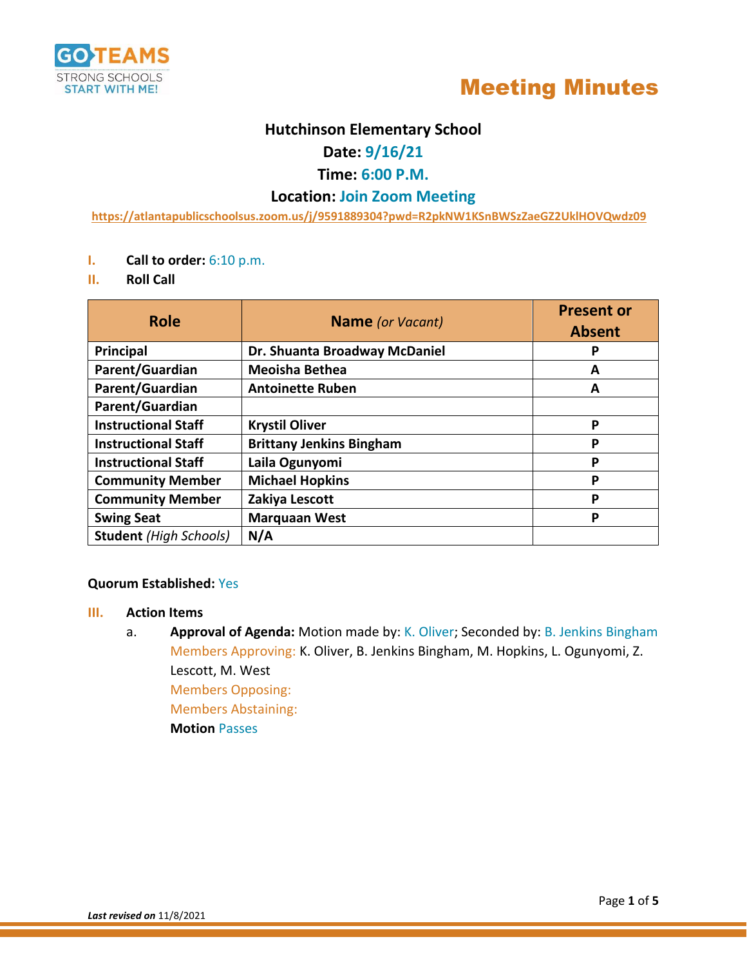



## **Hutchinson Elementary School**

## **Date: 9/16/21**

## **Time: 6:00 P.M.**

## **Location: Join Zoom Meeting**

**<https://atlantapublicschoolsus.zoom.us/j/9591889304?pwd=R2pkNW1KSnBWSzZaeGZ2UklHOVQwdz09>**

- **I. Call to order:** 6:10 p.m.
- **II. Roll Call**

| <b>Role</b>                   | <b>Name</b> (or Vacant)         | <b>Present or</b><br><b>Absent</b> |
|-------------------------------|---------------------------------|------------------------------------|
| Principal                     | Dr. Shuanta Broadway McDaniel   | P                                  |
| Parent/Guardian               | <b>Meoisha Bethea</b>           | A                                  |
| Parent/Guardian               | <b>Antoinette Ruben</b>         | А                                  |
| Parent/Guardian               |                                 |                                    |
| <b>Instructional Staff</b>    | <b>Krystil Oliver</b>           | P                                  |
| <b>Instructional Staff</b>    | <b>Brittany Jenkins Bingham</b> | P                                  |
| <b>Instructional Staff</b>    | Laila Ogunyomi                  | P                                  |
| <b>Community Member</b>       | <b>Michael Hopkins</b>          | P                                  |
| <b>Community Member</b>       | Zakiya Lescott                  | P                                  |
| <b>Swing Seat</b>             | <b>Marquaan West</b>            | P                                  |
| <b>Student</b> (High Schools) | N/A                             |                                    |

### **Quorum Established:** Yes

#### **III. Action Items**

a. **Approval of Agenda:** Motion made by: K. Oliver; Seconded by: B. Jenkins Bingham Members Approving: K. Oliver, B. Jenkins Bingham, M. Hopkins, L. Ogunyomi, Z. Lescott, M. West Members Opposing: Members Abstaining: **Motion** Passes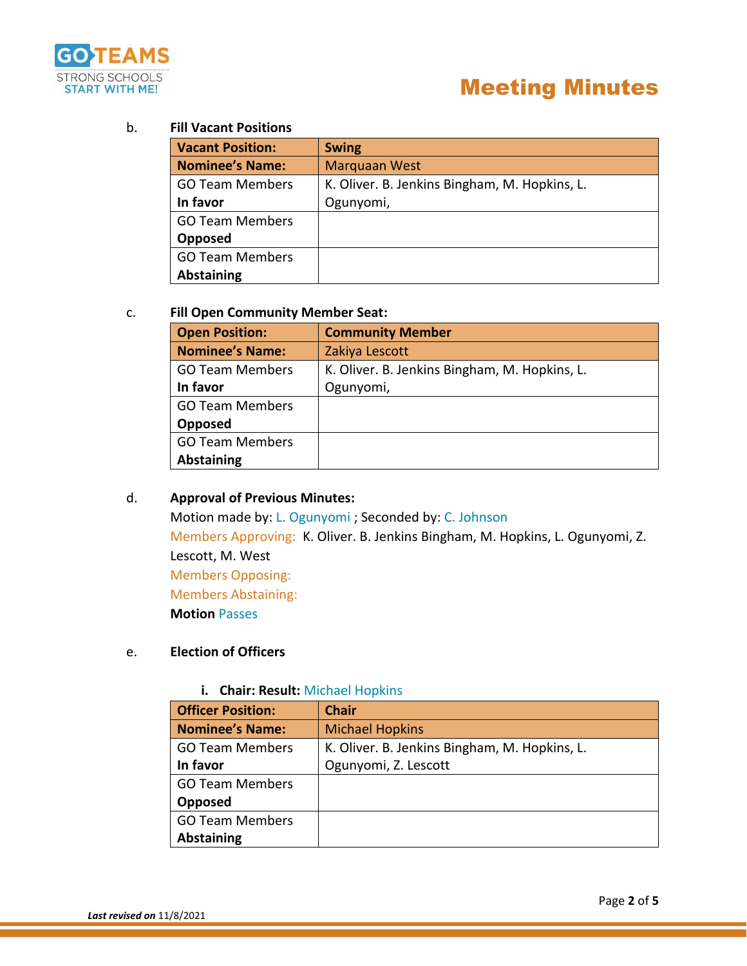

## b. **Fill Vacant Positions**

| <b>Vacant Position:</b> | <b>Swing</b>                                  |
|-------------------------|-----------------------------------------------|
| <b>Nominee's Name:</b>  | <b>Marquaan West</b>                          |
| <b>GO Team Members</b>  | K. Oliver. B. Jenkins Bingham, M. Hopkins, L. |
| In favor                | Ogunyomi,                                     |
| <b>GO Team Members</b>  |                                               |
| Opposed                 |                                               |
| <b>GO Team Members</b>  |                                               |
| <b>Abstaining</b>       |                                               |

### c. **Fill Open Community Member Seat:**

| <b>Open Position:</b>  | <b>Community Member</b>                       |  |
|------------------------|-----------------------------------------------|--|
| <b>Nominee's Name:</b> | Zakiya Lescott                                |  |
| <b>GO Team Members</b> | K. Oliver. B. Jenkins Bingham, M. Hopkins, L. |  |
| In favor               | Ogunyomi,                                     |  |
| <b>GO Team Members</b> |                                               |  |
| Opposed                |                                               |  |
| <b>GO Team Members</b> |                                               |  |
| <b>Abstaining</b>      |                                               |  |

## d. **Approval of Previous Minutes:**

Motion made by: L. Ogunyomi ; Seconded by: C. Johnson Members Approving: K. Oliver. B. Jenkins Bingham, M. Hopkins, L. Ogunyomi, Z. Lescott, M. West Members Opposing: Members Abstaining: **Motion** Passes

## e. **Election of Officers**

## **i. Chair: Result:** Michael Hopkins

| <b>Officer Position:</b> | <b>Chair</b>                                  |
|--------------------------|-----------------------------------------------|
| <b>Nominee's Name:</b>   | <b>Michael Hopkins</b>                        |
| <b>GO Team Members</b>   | K. Oliver. B. Jenkins Bingham, M. Hopkins, L. |
| In favor                 | Ogunyomi, Z. Lescott                          |
| <b>GO Team Members</b>   |                                               |
| Opposed                  |                                               |
| <b>GO Team Members</b>   |                                               |
| <b>Abstaining</b>        |                                               |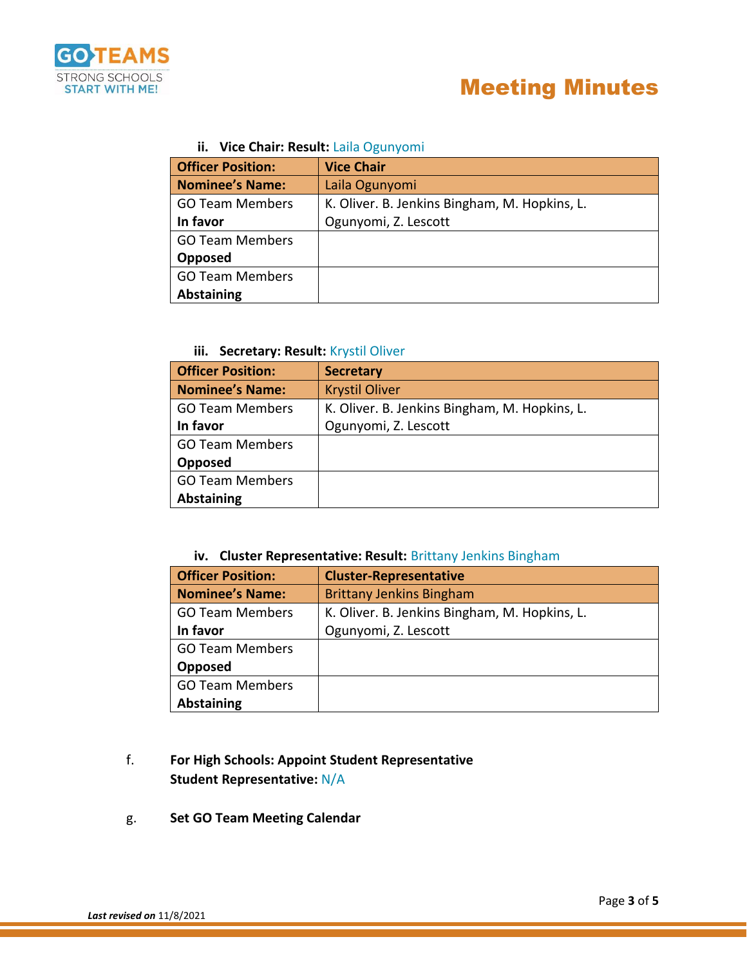

## **ii. Vice Chair: Result:** Laila Ogunyomi

| <b>Officer Position:</b> | <b>Vice Chair</b>                             |  |
|--------------------------|-----------------------------------------------|--|
| <b>Nominee's Name:</b>   | Laila Ogunyomi                                |  |
| <b>GO Team Members</b>   | K. Oliver. B. Jenkins Bingham, M. Hopkins, L. |  |
| In favor                 | Ogunyomi, Z. Lescott                          |  |
| <b>GO Team Members</b>   |                                               |  |
| Opposed                  |                                               |  |
| <b>GO Team Members</b>   |                                               |  |
| <b>Abstaining</b>        |                                               |  |

## **iii. Secretary: Result:** Krystil Oliver

| <b>Officer Position:</b> | <b>Secretary</b>                              |
|--------------------------|-----------------------------------------------|
| <b>Nominee's Name:</b>   | <b>Krystil Oliver</b>                         |
| <b>GO Team Members</b>   | K. Oliver. B. Jenkins Bingham, M. Hopkins, L. |
| In favor                 | Ogunyomi, Z. Lescott                          |
| <b>GO Team Members</b>   |                                               |
| Opposed                  |                                               |
| <b>GO Team Members</b>   |                                               |
| <b>Abstaining</b>        |                                               |

## **iv. Cluster Representative: Result:** Brittany Jenkins Bingham

| <b>Officer Position:</b> | <b>Cluster-Representative</b>                 |  |
|--------------------------|-----------------------------------------------|--|
| <b>Nominee's Name:</b>   | <b>Brittany Jenkins Bingham</b>               |  |
| <b>GO Team Members</b>   | K. Oliver. B. Jenkins Bingham, M. Hopkins, L. |  |
| In favor                 | Ogunyomi, Z. Lescott                          |  |
| <b>GO Team Members</b>   |                                               |  |
| Opposed                  |                                               |  |
| <b>GO Team Members</b>   |                                               |  |
| <b>Abstaining</b>        |                                               |  |

## f. **For High Schools: Appoint Student Representative Student Representative:** N/A

g. **Set GO Team Meeting Calendar**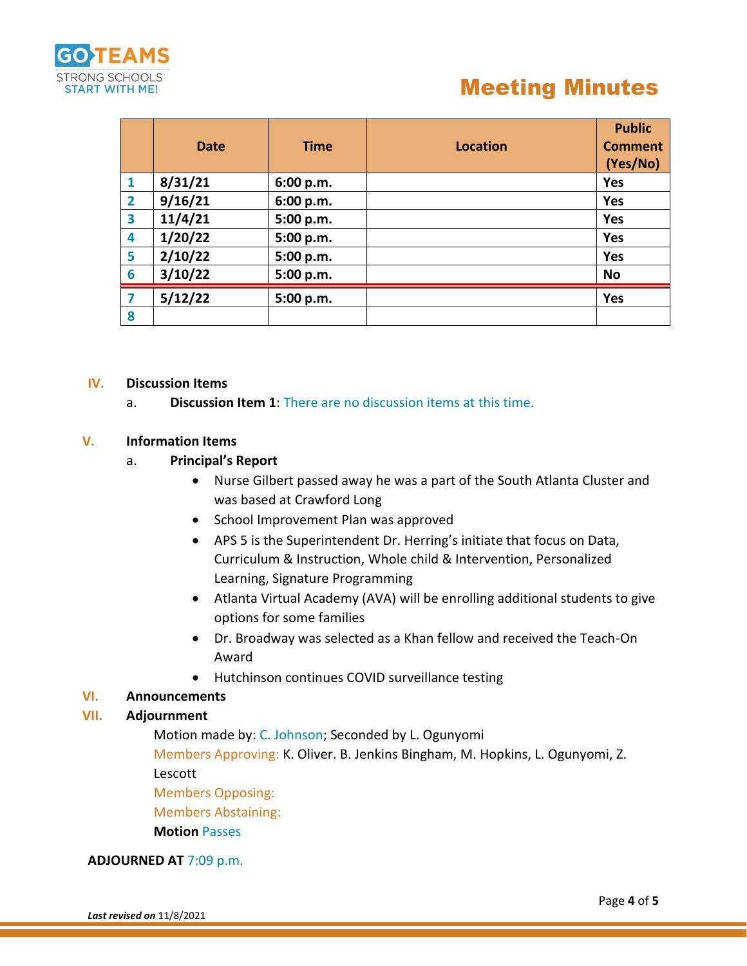

# Meeting Minutes

|                         | Date    | <b>Time</b> | <b>Location</b> | <b>Public</b><br><b>Comment</b><br>(Yes/No) |
|-------------------------|---------|-------------|-----------------|---------------------------------------------|
| $\mathbf{1}$            | 8/31/21 | 6:00 p.m.   |                 | Yes                                         |
| $\overline{\mathbf{2}}$ | 9/16/21 | 6:00 p.m.   |                 | Yes                                         |
| 3                       | 11/4/21 | 5:00 p.m.   |                 | <b>Yes</b>                                  |
| 4                       | 1/20/22 | 5:00 p.m.   |                 | <b>Yes</b>                                  |
| 5                       | 2/10/22 | 5:00 p.m.   |                 | Yes                                         |
| 6                       | 3/10/22 | 5:00 p.m.   |                 | No                                          |
| 7                       | 5/12/22 | 5:00 p.m.   |                 | <b>Yes</b>                                  |
| 8                       |         |             |                 |                                             |

#### **IV. Discussion Items**

a. **Discussion Item 1**: There are no discussion items at this time.

#### **V. Information Items**

- a. **Principal's Report**
	- Nurse Gilbert passed away he was a part of the South Atlanta Cluster and was based at Crawford Long
	- School Improvement Plan was approved
	- APS 5 is the Superintendent Dr. Herring's initiate that focus on Data, Curriculum & Instruction, Whole child & Intervention, Personalized Learning, Signature Programming
	- Atlanta Virtual Academy (AVA) will be enrolling additional students to give options for some families
	- Dr. Broadway was selected as a Khan fellow and received the Teach-On Award
	- Hutchinson continues COVID surveillance testing

## **VI. Announcements**

### **VII. Adjournment**

Motion made by: C. Johnson; Seconded by L. Ogunyomi

Members Approving: K. Oliver. B. Jenkins Bingham, M. Hopkins, L. Ogunyomi, Z. Lescott

Members Opposing:

Members Abstaining:

**Motion** Passes

#### **ADJOURNED AT** 7:09 p.m.